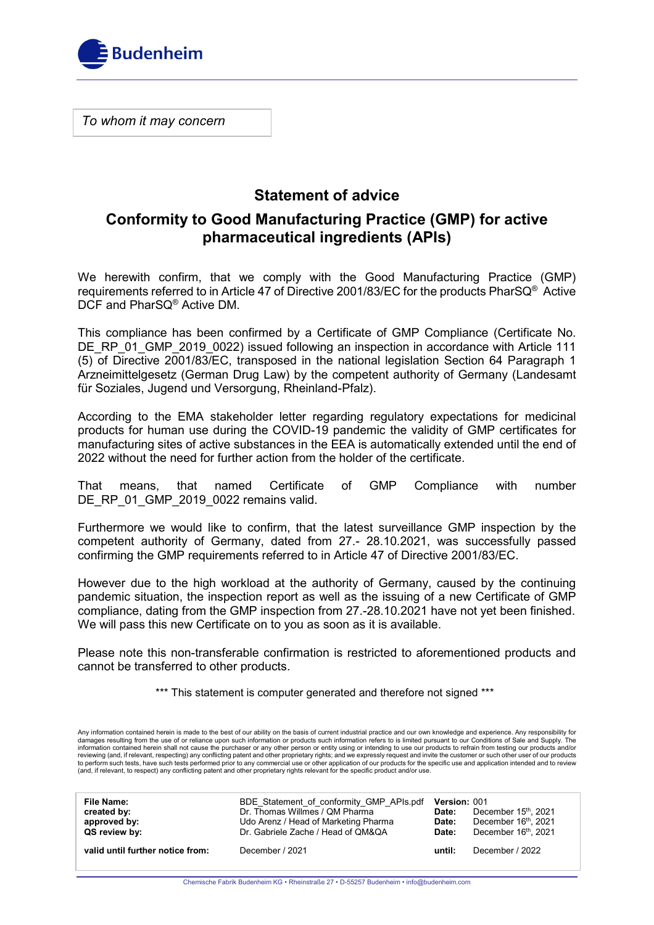

*To whom it may concern*

# **Statement of advice**

## **Conformity to Good Manufacturing Practice (GMP) for active pharmaceutical ingredients (APIs)**

We herewith confirm, that we comply with the Good Manufacturing Practice (GMP) requirements referred to in Article 47 of Directive 2001/83/EC for the products PharSQ $^{\circledast}$  Active DCF and PharSQ® Active DM.

This compliance has been confirmed by a Certificate of GMP Compliance (Certificate No. DE\_RP\_01\_GMP\_2019\_0022) issued following an inspection in accordance with Article 111 (5) of Directive 2001/83/EC, transposed in the national legislation Section 64 Paragraph 1 Arzneimittelgesetz (German Drug Law) by the competent authority of Germany (Landesamt für Soziales, Jugend und Versorgung, Rheinland-Pfalz).

According to the EMA stakeholder letter regarding regulatory expectations for medicinal products for human use during the COVID-19 pandemic the validity of GMP certificates for manufacturing sites of active substances in the EEA is automatically extended until the end of 2022 without the need for further action from the holder of the certificate.

That means, that named Certificate of GMP Compliance with number DE\_RP\_01\_GMP\_2019\_0022 remains valid.

Furthermore we would like to confirm, that the latest surveillance GMP inspection by the competent authority of Germany, dated from 27.- 28.10.2021, was successfully passed confirming the GMP requirements referred to in Article 47 of Directive 2001/83/EC.

However due to the high workload at the authority of Germany, caused by the continuing pandemic situation, the inspection report as well as the issuing of a new Certificate of GMP compliance, dating from the GMP inspection from 27.-28.10.2021 have not yet been finished. We will pass this new Certificate on to you as soon as it is available.

Please note this non-transferable confirmation is restricted to aforementioned products and cannot be transferred to other products.

\*\*\* This statement is computer generated and therefore not signed \*\*\*

Any information contained herein is made to the best of our ability on the basis of current industrial practice and our own knowledge and experience. Any responsibility for damages resulting from the use of or reliance upon such information or products such information refers to is limited pursuant to our Conditions of Sale and Supply. The information contained herein shall not cause the purchaser or any other person or entity using or intending to use our products to refrain from testing our products and/or<br>reviewing (and, if relevant, respecting) any confl to perform such tests, have such tests performed prior to any commercial use or other application of our products for the specific use and application intended and to review (and, if relevant, to respect) any conflicting patent and other proprietary rights relevant for the specific product and/or use.

| <b>File Name:</b><br>created by:<br>approved by:<br>QS review by: | BDE Statement of conformity GMP APIs.pdf<br>Dr. Thomas Willmes / QM Pharma<br>Udo Arenz / Head of Marketing Pharma<br>Dr. Gabriele Zache / Head of QM&QA | <b>Version: 001</b><br>Date:<br>Date:<br>Date: | December 15th, 2021<br>December 16 <sup>th</sup> , 2021<br>December 16th, 2021 |
|-------------------------------------------------------------------|----------------------------------------------------------------------------------------------------------------------------------------------------------|------------------------------------------------|--------------------------------------------------------------------------------|
| valid until further notice from:                                  | December / 2021                                                                                                                                          | until:                                         | December / 2022                                                                |

Chemische Fabrik Budenheim KG • Rheinstraße 27 • D-55257 Budenheim • info@budenheim.com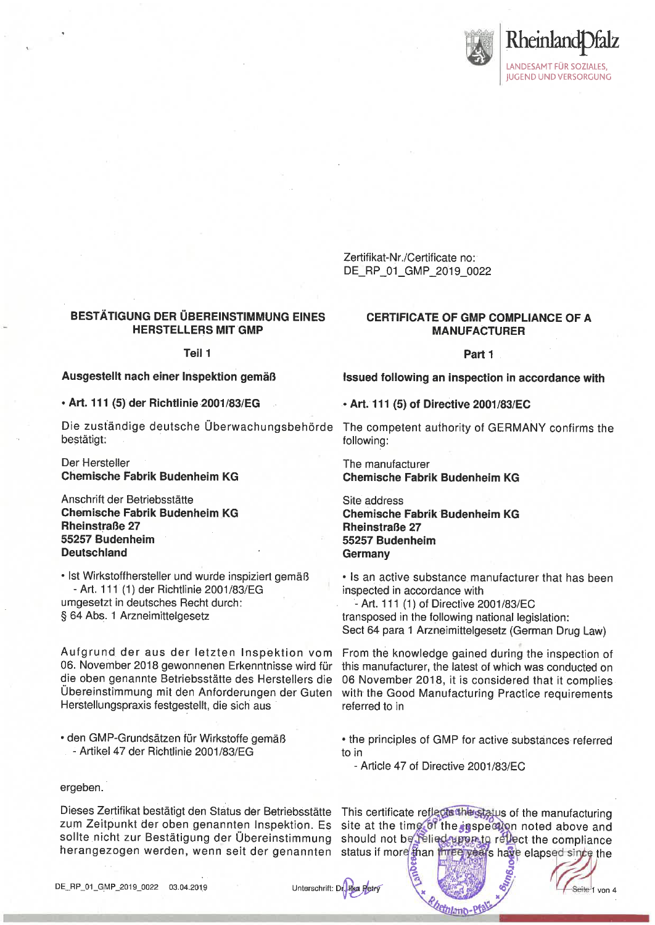

Zertifikat-Nr./Certificate no: DE\_RP\_01\_GMP\_2019\_0022

## **BESTÄTIGUNG DER ÜBEREINSTIMMUNG EINES HERSTELLERS MIT GMP**

Teil 1

Ausgestellt nach einer Inspektion gemäß

· Art. 111 (5) der Richtlinie 2001/83/EG

Die zuständige deutsche Überwachungsbehörde The competent authority of GERMANY confirms the bestätigt:

Der Hersteller **Chemische Fabrik Budenheim KG** 

Anschrift der Betriebsstätte **Chemische Fabrik Budenheim KG Rheinstraße 27** 55257 Budenheim **Deutschland** 

· Ist Wirkstoffhersteller und wurde inspiziert gemäß - Art. 111 (1) der Richtlinie 2001/83/EG umgesetzt in deutsches Recht durch: § 64 Abs. 1 Arzneimittelgesetz

Aufgrund der aus der letzten Inspektion vom 06. November 2018 gewonnenen Erkenntnisse wird für die oben genannte Betriebsstätte des Herstellers die Übereinstimmung mit den Anforderungen der Guten Herstellungspraxis festgestellt, die sich aus

• den GMP-Grundsätzen für Wirkstoffe gemäß - Artikel 47 der Richtlinie 2001/83/EG

#### ergeben.

Dieses Zertifikat bestätigt den Status der Betriebsstätte zum Zeitpunkt der oben genannten Inspektion. Es sollte nicht zur Bestätigung der Übereinstimmung herangezogen werden, wenn seit der genannten status if more than three years have elapsed since the

#### **CERTIFICATE OF GMP COMPLIANCE OF A MANUFACTURER**

Part 1

Issued following an inspection in accordance with

• Art. 111 (5) of Directive 2001/83/EC

following:

The manufacturer **Chemische Fabrik Budenheim KG** 

Site address **Chemische Fabrik Budenheim KG Rheinstraße 27** 55257 Budenheim Germany

• Is an active substance manufacturer that has been inspected in accordance with

- Art. 111 (1) of Directive 2001/83/EC transposed in the following national legislation: Sect 64 para 1 Arzneimittelgesetz (German Drug Law)

From the knowledge gained during the inspection of this manufacturer, the latest of which was conducted on 06 November 2018, it is considered that it complies with the Good Manufacturing Practice requirements referred to in

• the principles of GMP for active substances referred to in

- Article 47 of Directive 2001/83/EC

This certificate reflectathing status of the manufacturing site at the time of the inspection noted above and should not be felied uppinto reliect the compliance

Seite 1 von 4



Unterschrift: Dr. Hka Petry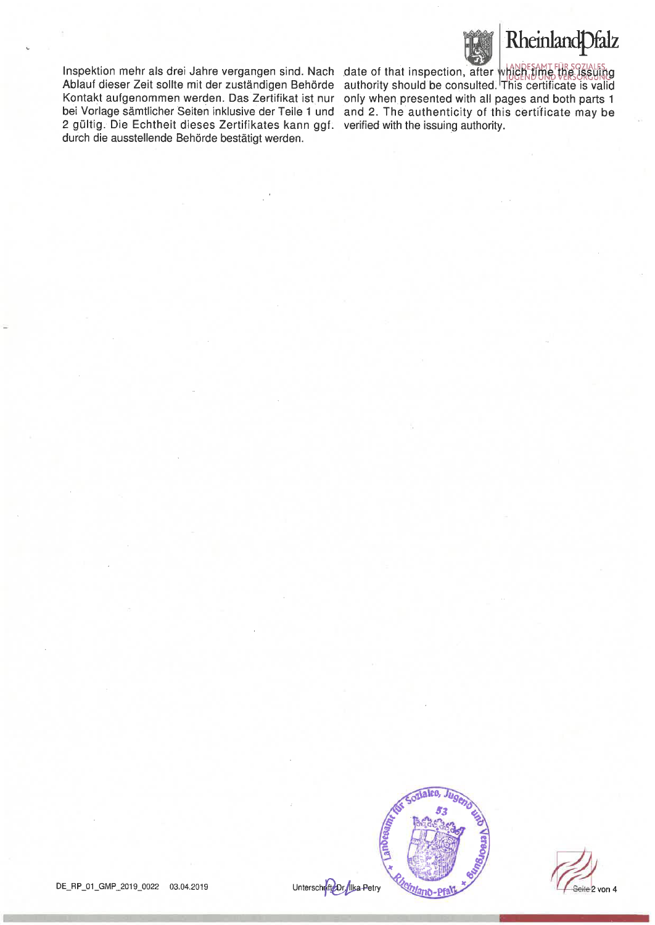



Inspektion mehr als drei Jahre vergangen sind. Nach date of that inspection, after which time the ISSUING Kontakt aufgenommen werden. Das Zertifikat ist nur only when presented with all pages and both parts 1 2 gültig. Die Echtheit dieses Zertifikates kann ggf. verified with the issuing authority. durch die ausstellende Behörde bestätigt werden.

Ablauf dieser Zeit sollte mit der zuständigen Behörde authority should be consulted. This certificate is valid bei Vorlage sämtlicher Seiten inklusive der Teile 1 und and 2. The authenticity of this certificate may be



Seite 2 von 4

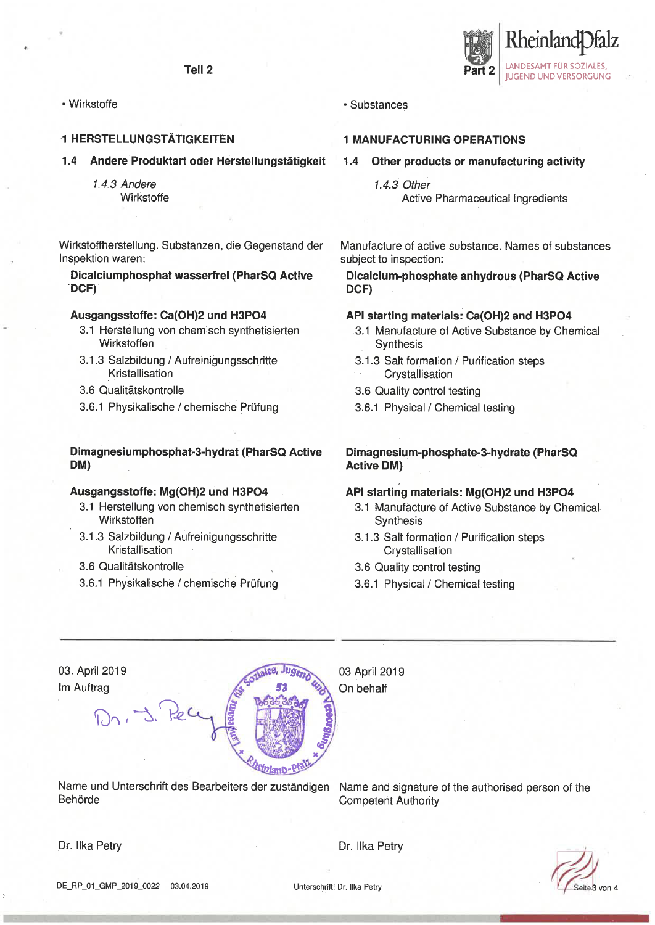Teil<sub>2</sub>

• Wirkstoffe

## **1 HERSTELLUNGSTÄTIGKEITEN**

#### 1.4 Andere Produktart oder Herstellungstätigkeit

1.4.3 Andere Wirkstoffe

Wirkstoffherstellung. Substanzen, die Gegenstand der Inspektion waren:

Dicalciumphosphat wasserfrei (PharSQ Active DCF)

## Ausgangsstoffe: Ca(OH)2 und H3PO4

- 3.1 Herstellung von chemisch synthetisierten Wirkstoffen
- 3.1.3 Salzbildung / Aufreinigungsschritte Kristallisation
- 3.6 Qualitätskontrolle
- 3.6.1 Physikalische / chemische Prüfung

## Dimagnesiumphosphat-3-hydrat (PharSQ Active DM)

#### Ausgangsstoffe: Mg(OH)2 und H3PO4

- 3.1 Herstellung von chemisch synthetisierten Wirkstoffen
- 3.1.3 Salzbildung / Aufreinigungsschritte Kristallisation
- 3.6 Qualitätskontrolle
- 3.6.1 Physikalische / chemische Prüfung



#### **1 MANUFACTURING OPERATIONS**

- Other products or manufacturing activity  $1.4$ 
	- 1.4.3 Other **Active Pharmaceutical Ingredients**

Rheinlanc

**LANDESAMT FÜR SOZIALES.** 

**JUGEND UND VERSORGUNG** 

Manufacture of active substance. Names of substances subject to inspection:

Dicalcium-phosphate anhydrous (PharSQ Active DCF)

#### API starting materials: Ca(OH)2 and H3PO4

- 3.1 Manufacture of Active Substance by Chemical Synthesis
- 3.1.3 Salt formation / Purification steps Crystallisation
- 3.6 Quality control testing
- 3.6.1 Physical / Chemical testing

Dimagnesium-phosphate-3-hydrate (PharSQ **Active DM)** 

## API starting materials: Mg(OH)2 und H3PO4

- 3.1 Manufacture of Active Substance by Chemical Synthesis
- 3.1.3 Salt formation / Purification steps Crystallisation
- 3.6 Quality control testing
- 3.6.1 Physical / Chemical testing

| 03. April 2019 | 03 April 2019 |  |
|----------------|---------------|--|
| Im Auftrag     | On behalf     |  |
|                |               |  |

Name und Unterschrift des Bearbeiters der zuständigen Behörde

Name and signature of the authorised person of the **Competent Authority** 

Dr. Ilka Petry